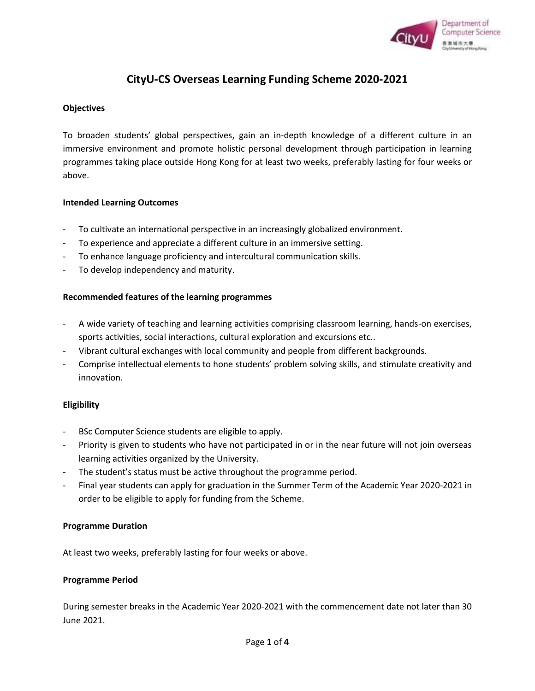

# **CityU-CS Overseas Learning Funding Scheme 2020-2021**

#### **Objectives**

To broaden students' global perspectives, gain an in-depth knowledge of a different culture in an immersive environment and promote holistic personal development through participation in learning programmes taking place outside Hong Kong for at least two weeks, preferably lasting for four weeks or above.

#### **Intended Learning Outcomes**

- To cultivate an international perspective in an increasingly globalized environment.
- To experience and appreciate a different culture in an immersive setting.
- To enhance language proficiency and intercultural communication skills.
- To develop independency and maturity.

#### **Recommended features of the learning programmes**

- A wide variety of teaching and learning activities comprising classroom learning, hands-on exercises, sports activities, social interactions, cultural exploration and excursions etc..
- Vibrant cultural exchanges with local community and people from different backgrounds.
- Comprise intellectual elements to hone students' problem solving skills, and stimulate creativity and innovation.

#### **Eligibility**

- BSc Computer Science students are eligible to apply.
- Priority is given to students who have not participated in or in the near future will not join overseas learning activities organized by the University.
- The student's status must be active throughout the programme period.
- Final year students can apply for graduation in the Summer Term of the Academic Year 2020-2021 in order to be eligible to apply for funding from the Scheme.

#### **Programme Duration**

At least two weeks, preferably lasting for four weeks or above.

#### **Programme Period**

During semester breaks in the Academic Year 2020-2021 with the commencement date not later than 30 June 2021.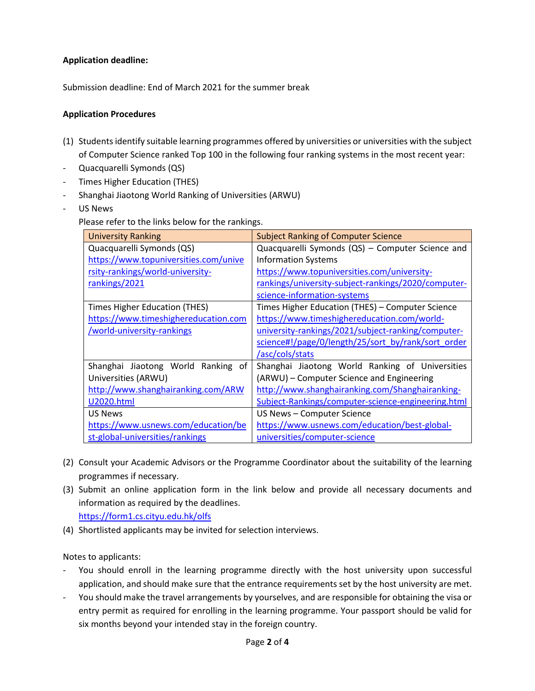# **Application deadline:**

Submission deadline: End of March 2021 for the summer break

# **Application Procedures**

- (1) Students identify suitable learning programmes offered by universities or universities with the subject of Computer Science ranked Top 100 in the following four ranking systems in the most recent year:
- Quacquarelli Symonds (QS)
- Times Higher Education (THES)
- Shanghai Jiaotong World Ranking of Universities (ARWU)
- US News

Please refer to the links below for the rankings.

| <b>University Ranking</b>             | <b>Subject Ranking of Computer Science</b>          |
|---------------------------------------|-----------------------------------------------------|
| Quacquarelli Symonds (QS)             | Quacquarelli Symonds (QS) - Computer Science and    |
| https://www.topuniversities.com/unive | <b>Information Systems</b>                          |
| rsity-rankings/world-university-      | https://www.topuniversities.com/university-         |
| rankings/2021                         | rankings/university-subject-rankings/2020/computer- |
|                                       | science-information-systems                         |
| Times Higher Education (THES)         | Times Higher Education (THES) - Computer Science    |
| https://www.timeshighereducation.com  | https://www.timeshighereducation.com/world-         |
| /world-university-rankings            | university-rankings/2021/subject-ranking/computer-  |
|                                       | science#!/page/0/length/25/sort by/rank/sort order  |
|                                       | /asc/cols/stats                                     |
| Shanghai Jiaotong World Ranking of    | Shanghai Jiaotong World Ranking of Universities     |
| Universities (ARWU)                   | (ARWU) - Computer Science and Engineering           |
| http://www.shanghairanking.com/ARW    | http://www.shanghairanking.com/Shanghairanking-     |
| U2020.html                            | Subject-Rankings/computer-science-engineering.html  |
| <b>US News</b>                        | US News - Computer Science                          |
| https://www.usnews.com/education/be   | https://www.usnews.com/education/best-global-       |
| st-global-universities/rankings       | universities/computer-science                       |

- (2) Consult your Academic Advisors or the Programme Coordinator about the suitability of the learning programmes if necessary.
- (3) Submit an online application form in the link below and provide all necessary documents and information as required by the deadlines.

<https://form1.cs.cityu.edu.hk/olfs>

(4) Shortlisted applicants may be invited for selection interviews.

Notes to applicants:

- You should enroll in the learning programme directly with the host university upon successful application, and should make sure that the entrance requirements set by the host university are met.
- You should make the travel arrangements by yourselves, and are responsible for obtaining the visa or entry permit as required for enrolling in the learning programme. Your passport should be valid for six months beyond your intended stay in the foreign country.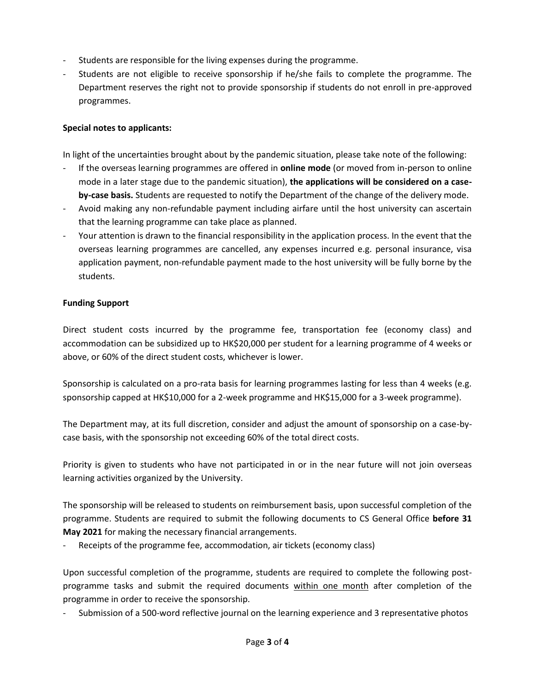- Students are responsible for the living expenses during the programme.
- Students are not eligible to receive sponsorship if he/she fails to complete the programme. The Department reserves the right not to provide sponsorship if students do not enroll in pre-approved programmes.

# **Special notes to applicants:**

In light of the uncertainties brought about by the pandemic situation, please take note of the following:

- If the overseas learning programmes are offered in **online mode** (or moved from in-person to online mode in a later stage due to the pandemic situation), **the applications will be considered on a caseby-case basis.** Students are requested to notify the Department of the change of the delivery mode.
- Avoid making any non-refundable payment including airfare until the host university can ascertain that the learning programme can take place as planned.
- Your attention is drawn to the financial responsibility in the application process. In the event that the overseas learning programmes are cancelled, any expenses incurred e.g. personal insurance, visa application payment, non-refundable payment made to the host university will be fully borne by the students.

#### **Funding Support**

Direct student costs incurred by the programme fee, transportation fee (economy class) and accommodation can be subsidized up to HK\$20,000 per student for a learning programme of 4 weeks or above, or 60% of the direct student costs, whichever is lower.

Sponsorship is calculated on a pro-rata basis for learning programmes lasting for less than 4 weeks (e.g. sponsorship capped at HK\$10,000 for a 2-week programme and HK\$15,000 for a 3-week programme).

The Department may, at its full discretion, consider and adjust the amount of sponsorship on a case-bycase basis, with the sponsorship not exceeding 60% of the total direct costs.

Priority is given to students who have not participated in or in the near future will not join overseas learning activities organized by the University.

The sponsorship will be released to students on reimbursement basis, upon successful completion of the programme. Students are required to submit the following documents to CS General Office **before 31 May 2021** for making the necessary financial arrangements.

Receipts of the programme fee, accommodation, air tickets (economy class)

Upon successful completion of the programme, students are required to complete the following postprogramme tasks and submit the required documents within one month after completion of the programme in order to receive the sponsorship.

Submission of a 500-word reflective journal on the learning experience and 3 representative photos